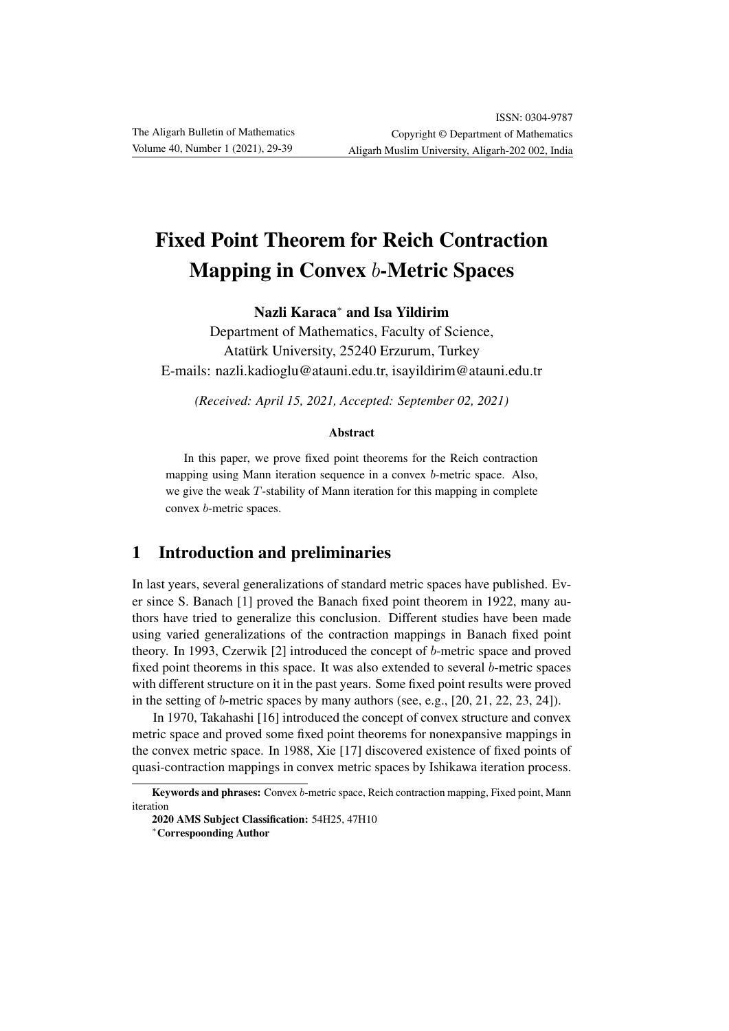# Fixed Point Theorem for Reich Contraction Mapping in Convex b-Metric Spaces

Nazli Karaca<sup>∗</sup> and Isa Yildirim

Department of Mathematics, Faculty of Science, Atatürk University, 25240 Erzurum, Turkey E-mails: nazli.kadioglu@atauni.edu.tr, isayildirim@atauni.edu.tr

*(Received: April 15, 2021, Accepted: September 02, 2021)*

#### Abstract

In this paper, we prove fixed point theorems for the Reich contraction mapping using Mann iteration sequence in a convex b-metric space. Also, we give the weak T-stability of Mann iteration for this mapping in complete convex b-metric spaces.

# 1 Introduction and preliminaries

In last years, several generalizations of standard metric spaces have published. Ever since S. Banach [1] proved the Banach fixed point theorem in 1922, many authors have tried to generalize this conclusion. Different studies have been made using varied generalizations of the contraction mappings in Banach fixed point theory. In 1993, Czerwik [2] introduced the concept of b-metric space and proved fixed point theorems in this space. It was also extended to several b-metric spaces with different structure on it in the past years. Some fixed point results were proved in the setting of b-metric spaces by many authors (see, e.g., [20, 21, 22, 23, 24]).

In 1970, Takahashi [16] introduced the concept of convex structure and convex metric space and proved some fixed point theorems for nonexpansive mappings in the convex metric space. In 1988, Xie [17] discovered existence of fixed points of quasi-contraction mappings in convex metric spaces by Ishikawa iteration process.

Keywords and phrases: Convex b-metric space, Reich contraction mapping, Fixed point, Mann iteration

<sup>2020</sup> AMS Subject Classification: 54H25, 47H10

<sup>∗</sup>Correspoonding Author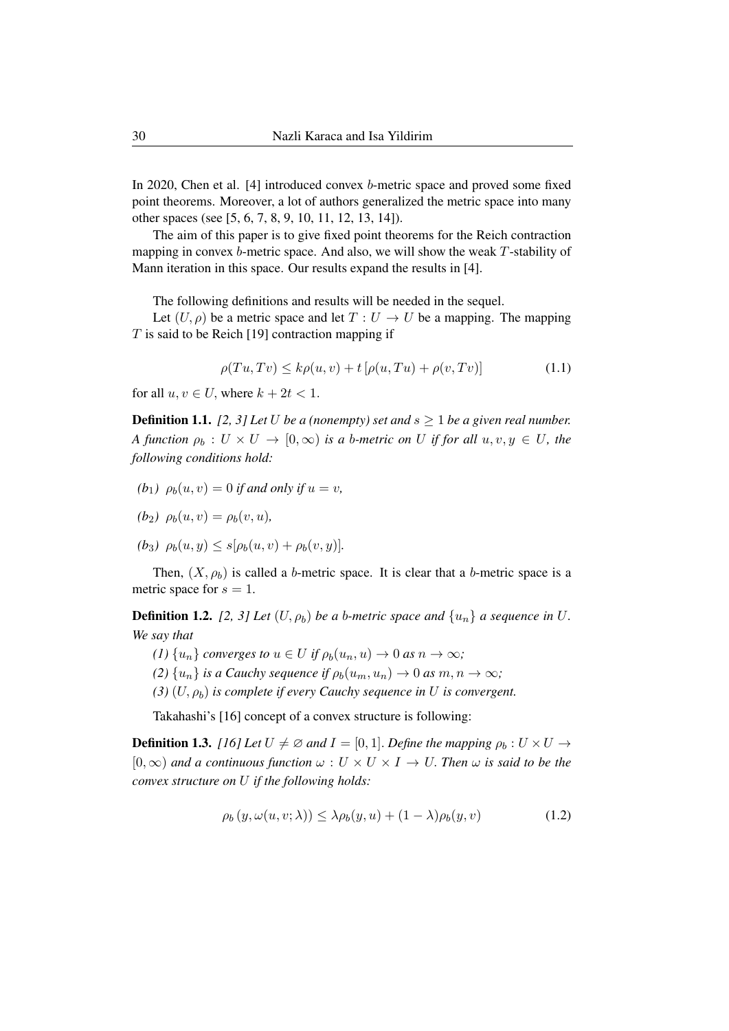In 2020, Chen et al. [4] introduced convex b-metric space and proved some fixed point theorems. Moreover, a lot of authors generalized the metric space into many other spaces (see [5, 6, 7, 8, 9, 10, 11, 12, 13, 14]).

The aim of this paper is to give fixed point theorems for the Reich contraction mapping in convex  $b$ -metric space. And also, we will show the weak  $T$ -stability of Mann iteration in this space. Our results expand the results in [4].

The following definitions and results will be needed in the sequel.

Let  $(U, \rho)$  be a metric space and let  $T : U \to U$  be a mapping. The mapping  $T$  is said to be Reich [19] contraction mapping if

$$
\rho(Tu, Tv) \le k\rho(u, v) + t\left[\rho(u, Tu) + \rho(v, Tv)\right]
$$
\n(1.1)

for all  $u, v \in U$ , where  $k + 2t < 1$ .

**Definition 1.1.** [2, 3] Let U be a (nonempty) set and  $s > 1$  be a given real number. *A function*  $\rho_b : U \times U \to [0, \infty)$  *is a b-metric on* U *if for all*  $u, v, y \in U$ *, the following conditions hold:*

- $(b_1)$   $\rho_b(u, v) = 0$  *if and only if*  $u = v$ ,
- *(b<sub>2</sub>)*  $\rho_b(u, v) = \rho_b(v, u)$ ,
- $(b_3)$   $\rho_b(u, y) \leq s[\rho_b(u, v) + \rho_b(v, y)].$

Then,  $(X, \rho_b)$  is called a b-metric space. It is clear that a b-metric space is a metric space for  $s = 1$ .

**Definition 1.2.** *[2, 3] Let*  $(U, \rho_b)$  *be a b-metric space and*  $\{u_n\}$  *a sequence in* U. *We say that*

- *(1)*  $\{u_n\}$  *converges to*  $u \in U$  *if*  $\rho_b(u_n, u) \to 0$  *as*  $n \to \infty$ *;*
- *(2)*  $\{u_n\}$  *is a Cauchy sequence if*  $\rho_b(u_m, u_n) \to 0$  *as*  $m, n \to \infty$ *;*
- $(3)$   $(U, \rho_b)$  *is complete if every Cauchy sequence in* U *is convergent.*

Takahashi's [16] concept of a convex structure is following:

**Definition 1.3.** *[16] Let*  $U \neq \emptyset$  *and*  $I = [0, 1]$ *. Define the mapping*  $\rho_b : U \times U \rightarrow$  $[0, \infty)$  *and a continuous function*  $\omega : U \times U \times I \to U$ . Then  $\omega$  *is said to be the convex structure on* U *if the following holds:*

$$
\rho_b(y, \omega(u, v; \lambda)) \le \lambda \rho_b(y, u) + (1 - \lambda) \rho_b(y, v) \tag{1.2}
$$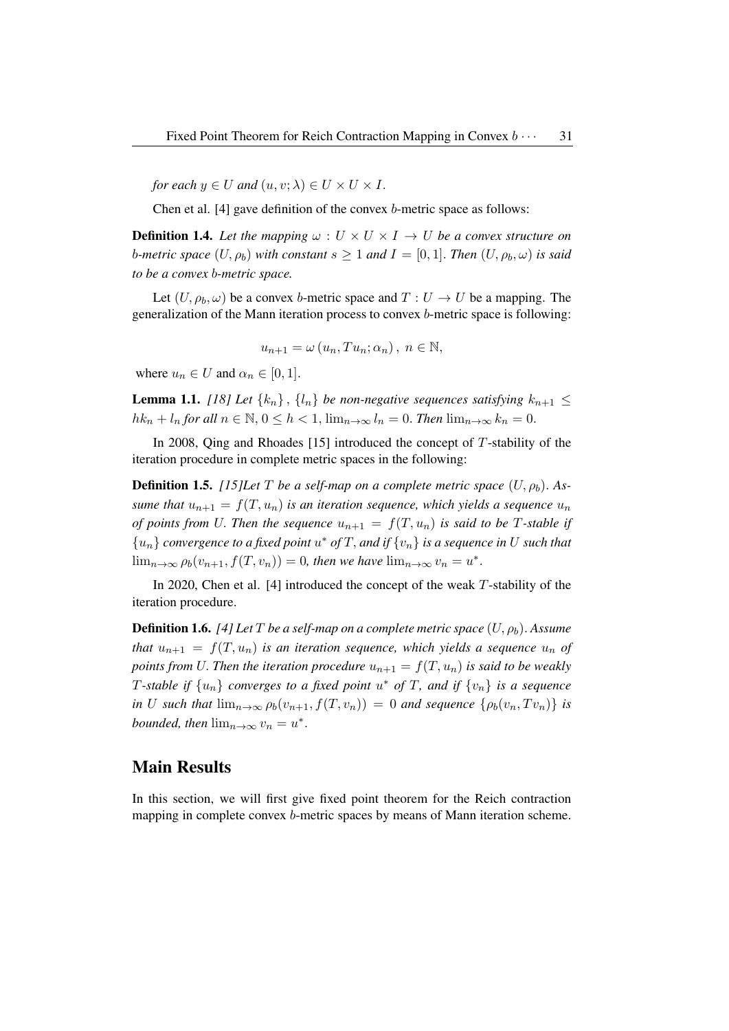*for each*  $y \in U$  *and*  $(u, v; \lambda) \in U \times U \times I$ .

Chen et al. [4] gave definition of the convex b-metric space as follows:

**Definition 1.4.** Let the mapping  $\omega : U \times U \times I \rightarrow U$  be a convex structure on *b*-metric space  $(U, \rho_b)$  with constant  $s \geq 1$  and  $I = [0, 1]$ . Then  $(U, \rho_b, \omega)$  is said *to be a convex* b*-metric space.*

Let  $(U, \rho_b, \omega)$  be a convex b-metric space and  $T : U \to U$  be a mapping. The generalization of the Mann iteration process to convex b-metric space is following:

$$
u_{n+1} = \omega(u_n, Tu_n; \alpha_n), \ n \in \mathbb{N},
$$

where  $u_n \in U$  and  $\alpha_n \in [0, 1]$ .

**Lemma 1.1.** *[18] Let*  $\{k_n\}$ ,  $\{l_n\}$  *be non-negative sequences satisfying*  $k_{n+1} \leq$  $hk_n + l_n$  *for all*  $n \in \mathbb{N}, 0 \leq h < 1$ ,  $\lim_{n \to \infty} l_n = 0$ . *Then*  $\lim_{n \to \infty} k_n = 0$ .

In 2008, Qing and Rhoades [15] introduced the concept of  $T$ -stability of the iteration procedure in complete metric spaces in the following:

**Definition 1.5.** *[15]Let* T *be a self-map on a complete metric space*  $(U, \rho_b)$ . As*sume that*  $u_{n+1} = f(T, u_n)$  *is an iteration sequence, which yields a sequence*  $u_n$ *of points from U. Then the sequence*  $u_{n+1} = f(T, u_n)$  *is said to be T-stable if*  ${u_n}$  *convergence to a fixed point*  $u^*$  *of*  $T$ *, and if*  ${v_n}$  *is a sequence in*  $U$  *such that*  $\lim_{n\to\infty}\rho_b(v_{n+1},f(T,v_n))=0$ , then we have  $\lim_{n\to\infty}v_n=u^*$ .

In 2020, Chen et al. [4] introduced the concept of the weak  $T$ -stability of the iteration procedure.

**Definition 1.6.** *[4] Let*  $T$  *be a self-map on a complete metric space*  $(U, \rho_h)$ . *Assume that*  $u_{n+1} = f(T, u_n)$  *is an iteration sequence, which yields a sequence*  $u_n$  *of points from* U. Then the iteration procedure  $u_{n+1} = f(T, u_n)$  is said to be weakly T-stable if  $\{u_n\}$  converges to a fixed point  $u^*$  of T, and if  $\{v_n\}$  is a sequence *in* U such that  $\lim_{n\to\infty} \rho_b(v_{n+1}, f(T, v_n)) = 0$  and sequence  $\{\rho_b(v_n, Tv_n)\}\$ is *bounded, then*  $\lim_{n\to\infty} v_n = u^*$ .

## Main Results

In this section, we will first give fixed point theorem for the Reich contraction mapping in complete convex b-metric spaces by means of Mann iteration scheme.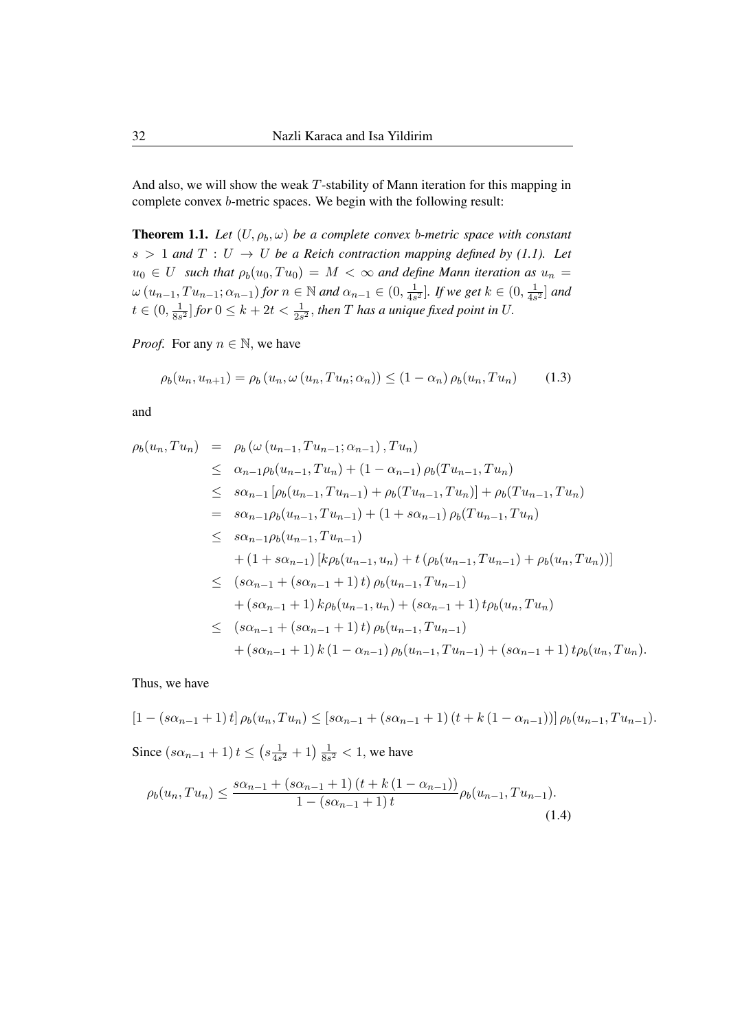And also, we will show the weak T-stability of Mann iteration for this mapping in complete convex b-metric spaces. We begin with the following result:

**Theorem 1.1.** Let  $(U, \rho_b, \omega)$  be a complete convex b-metric space with constant  $s > 1$  and  $T : U \rightarrow U$  be a Reich contraction mapping defined by (1.1). Let  $u_0 \in U$  *such that*  $\rho_b(u_0, Tu_0) = M < \infty$  *and define Mann iteration as*  $u_n =$  $\omega(u_{n-1}, Tu_{n-1}; \alpha_{n-1})$  for  $n \in \mathbb{N}$  and  $\alpha_{n-1} \in (0, \frac{1}{4s})$  $\frac{1}{4s^2}$ ]. If we get  $k \in (0, \frac{1}{4s})$  $\frac{1}{4s^2}$  and  $t\in(0,\frac{1}{8\varepsilon})$  $\frac{1}{8s^2}]$  for  $0 \leq k + 2t < \frac{1}{2s^2}$ , then  $T$  has a unique fixed point in U.

*Proof.* For any  $n \in \mathbb{N}$ , we have

$$
\rho_b(u_n, u_{n+1}) = \rho_b(u_n, \omega(u_n, Tu_n; \alpha_n)) \le (1 - \alpha_n) \rho_b(u_n, Tu_n) \tag{1.3}
$$

and

$$
\rho_b(u_n, Tu_n) = \rho_b(\omega(u_{n-1}, Tu_{n-1}; \alpha_{n-1}), Tu_n)
$$
  
\n
$$
\leq \alpha_{n-1} \rho_b(u_{n-1}, Tu_n) + (1 - \alpha_{n-1}) \rho_b(Tu_{n-1}, Tu_n)
$$
  
\n
$$
\leq s\alpha_{n-1} [\rho_b(u_{n-1}, Tu_{n-1}) + \rho_b(Tu_{n-1}, Tu_n)] + \rho_b(Tu_{n-1}, Tu_n)
$$
  
\n
$$
= s\alpha_{n-1} \rho_b(u_{n-1}, Tu_{n-1}) + (1 + s\alpha_{n-1}) \rho_b(Tu_{n-1}, Tu_n)
$$
  
\n
$$
\leq s\alpha_{n-1} \rho_b(u_{n-1}, Tu_{n-1})
$$
  
\n
$$
+ (1 + s\alpha_{n-1}) [k\rho_b(u_{n-1}, u_n) + t(\rho_b(u_{n-1}, Tu_{n-1}) + \rho_b(u_n, Tu_n))]
$$
  
\n
$$
\leq (s\alpha_{n-1} + (s\alpha_{n-1} + 1) t) \rho_b(u_{n-1}, Tu_{n-1})
$$
  
\n
$$
+ (s\alpha_{n-1} + 1) k\rho_b(u_{n-1}, u_n) + (s\alpha_{n-1} + 1) t\rho_b(u_n, Tu_n)
$$
  
\n
$$
\leq (s\alpha_{n-1} + (s\alpha_{n-1} + 1) t) \rho_b(u_{n-1}, Tu_{n-1})
$$
  
\n
$$
+ (s\alpha_{n-1} + 1) k (1 - \alpha_{n-1}) \rho_b(u_{n-1}, Tu_{n-1}) + (s\alpha_{n-1} + 1) t\rho_b(u_n, Tu_n).
$$

Thus, we have

$$
[1 - (s\alpha_{n-1} + 1) t] \rho_b(u_n, Tu_n) \leq [s\alpha_{n-1} + (s\alpha_{n-1} + 1) (t + k(1 - \alpha_{n-1}))] \rho_b(u_{n-1}, Tu_{n-1}).
$$

Since  $(s\alpha_{n-1}+1)t \leq (s\frac{1}{4s})$  $\frac{1}{4s^2}+1\right)\frac{1}{8s}$  $\frac{1}{8s^2}$  < 1, we have

$$
\rho_b(u_n, Tu_n) \le \frac{s\alpha_{n-1} + (s\alpha_{n-1} + 1)(t + k(1 - \alpha_{n-1}))}{1 - (s\alpha_{n-1} + 1)t} \rho_b(u_{n-1}, Tu_{n-1}).
$$
\n(1.4)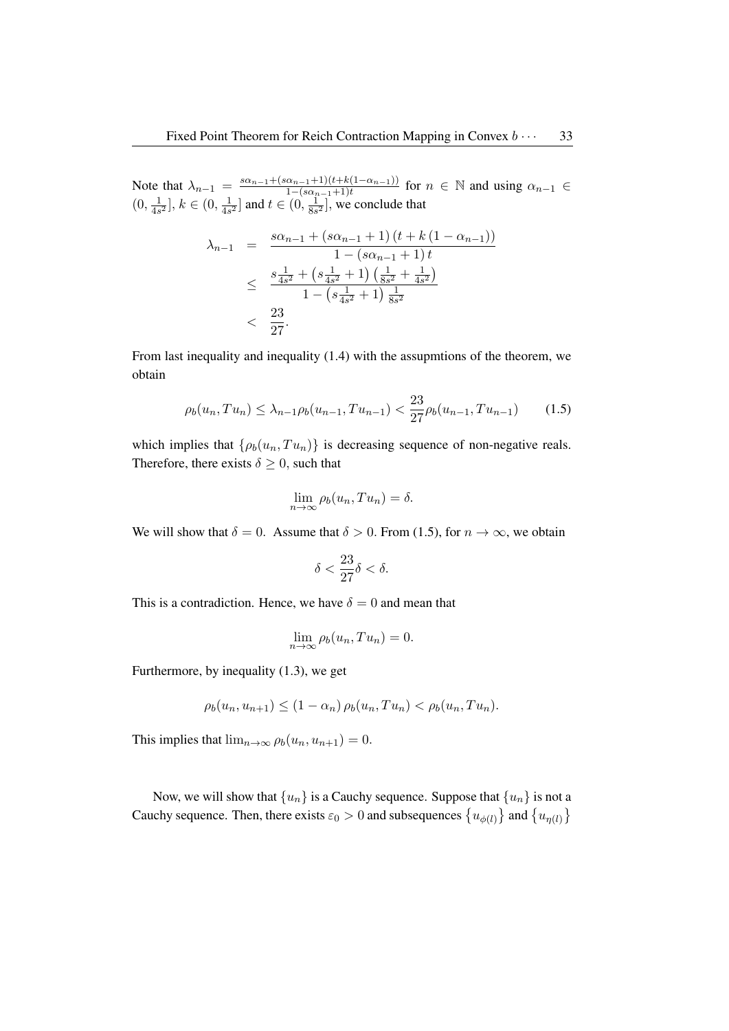Note that  $\lambda_{n-1} = \frac{s\alpha_{n-1} + (s\alpha_{n-1}+1)(t+k(1-\alpha_{n-1}))}{1-(s\alpha_{n-1}+1)t}$  $\frac{\alpha_{n-1}+1}{1-(s\alpha_{n-1}+1)t}$  for  $n \in \mathbb{N}$  and using  $\alpha_{n-1} \in$  $(0, \frac{1}{4e})$  $\frac{1}{4s^2}$ ,  $k \in (0, \frac{1}{4s})$  $\frac{1}{4s^2}$  and  $t \in (0, \frac{1}{8s})$  $\frac{1}{8s^2}$ , we conclude that

$$
\lambda_{n-1} = \frac{s\alpha_{n-1} + (s\alpha_{n-1} + 1) (t + k (1 - \alpha_{n-1}))}{1 - (s\alpha_{n-1} + 1) t}
$$
  
\n
$$
\leq \frac{s\frac{1}{4s^2} + (s\frac{1}{4s^2} + 1) (\frac{1}{8s^2} + \frac{1}{4s^2})}{1 - (s\frac{1}{4s^2} + 1) \frac{1}{8s^2}}
$$
  
\n
$$
< \frac{23}{27}.
$$

From last inequality and inequality (1.4) with the assupmtions of the theorem, we obtain

$$
\rho_b(u_n, Tu_n) \le \lambda_{n-1} \rho_b(u_{n-1}, Tu_{n-1}) < \frac{23}{27} \rho_b(u_{n-1}, Tu_{n-1}) \tag{1.5}
$$

which implies that  $\{\rho_b(u_n, Tu_n)\}\$ is decreasing sequence of non-negative reals. Therefore, there exists  $\delta \geq 0$ , such that

$$
\lim_{n \to \infty} \rho_b(u_n, Tu_n) = \delta.
$$

We will show that  $\delta = 0$ . Assume that  $\delta > 0$ . From (1.5), for  $n \to \infty$ , we obtain

$$
\delta < \frac{23}{27}\delta < \delta.
$$

This is a contradiction. Hence, we have  $\delta = 0$  and mean that

$$
\lim_{n \to \infty} \rho_b(u_n, Tu_n) = 0.
$$

Furthermore, by inequality (1.3), we get

$$
\rho_b(u_n, u_{n+1}) \le (1 - \alpha_n) \rho_b(u_n, Tu_n) < \rho_b(u_n, Tu_n).
$$

This implies that  $\lim_{n\to\infty} \rho_b(u_n, u_{n+1}) = 0$ .

Now, we will show that  $\{u_n\}$  is a Cauchy sequence. Suppose that  $\{u_n\}$  is not a Cauchy sequence. Then, there exists  $\varepsilon_0 > 0$  and subsequences  $\{u_{\phi(l)}\}$  and  $\{u_{\eta(l)}\}$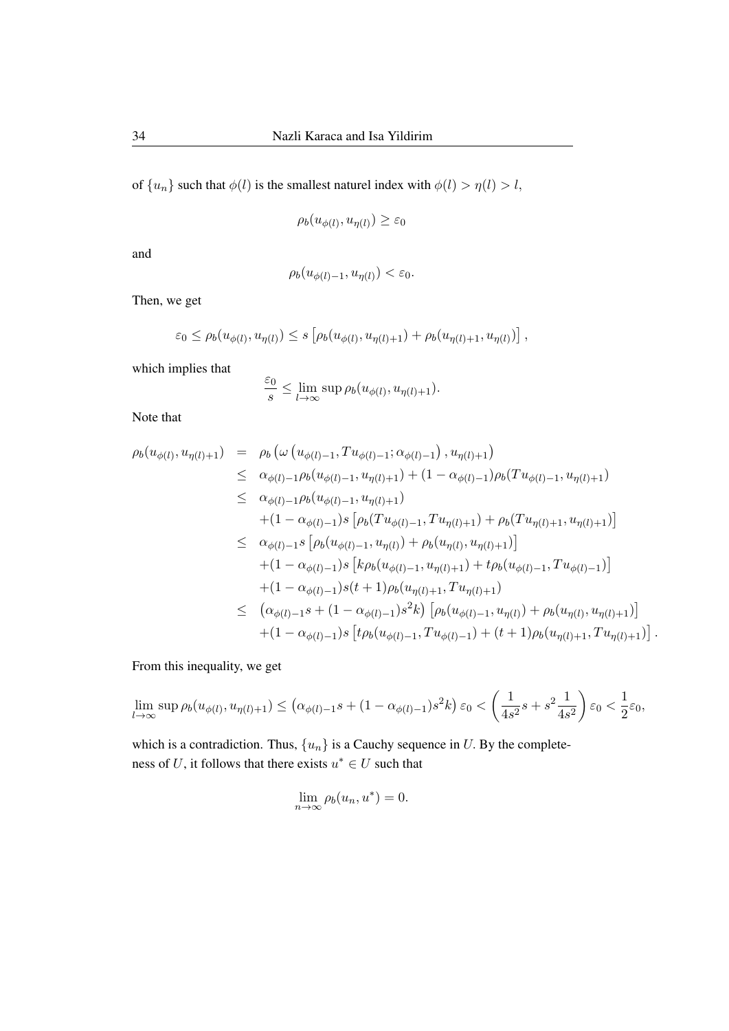of  $\{u_n\}$  such that  $\phi(l)$  is the smallest naturel index with  $\phi(l) > \eta(l) > l$ ,

$$
\rho_b(u_{\phi(l)}, u_{\eta(l)}) \ge \varepsilon_0
$$

and

$$
\rho_b(u_{\phi(l)-1}, u_{\eta(l)}) < \varepsilon_0.
$$

Then, we get

$$
\varepsilon_0 \leq \rho_b(u_{\phi(l)}, u_{\eta(l)}) \leq s \left[ \rho_b(u_{\phi(l)}, u_{\eta(l)+1}) + \rho_b(u_{\eta(l)+1}, u_{\eta(l)}) \right],
$$

which implies that

$$
\frac{\varepsilon_0}{s} \leq \lim_{l \to \infty} \sup \rho_b(u_{\phi(l)}, u_{\eta(l)+1}).
$$

Note that

$$
\rho_b(u_{\phi(l)}, u_{\eta(l)+1}) = \rho_b(\omega(u_{\phi(l)-1}, Tu_{\phi(l)-1}; \alpha_{\phi(l)-1}), u_{\eta(l)+1})
$$
\n
$$
\leq \alpha_{\phi(l)-1} \rho_b(u_{\phi(l)-1}, u_{\eta(l)+1}) + (1 - \alpha_{\phi(l)-1}) \rho_b(Tu_{\phi(l)-1}, u_{\eta(l)+1})
$$
\n
$$
\leq \alpha_{\phi(l)-1} \rho_b(u_{\phi(l)-1}, u_{\eta(l)+1})
$$
\n
$$
+ (1 - \alpha_{\phi(l)-1}) s [\rho_b(Tu_{\phi(l)-1}, Tu_{\eta(l)+1}) + \rho_b(Tu_{\eta(l)+1}, u_{\eta(l)+1})]
$$
\n
$$
\leq \alpha_{\phi(l)-1} s [\rho_b(u_{\phi(l)-1}, u_{\eta(l)}) + \rho_b(u_{\eta(l)}, u_{\eta(l)+1})]
$$
\n
$$
+ (1 - \alpha_{\phi(l)-1}) s [k \rho_b(u_{\phi(l)-1}, u_{\eta(l)+1}) + t \rho_b(u_{\phi(l)-1}, Tu_{\phi(l)-1})]
$$
\n
$$
+ (1 - \alpha_{\phi(l)-1}) s(t+1) \rho_b(u_{\eta(l)+1}, Tu_{\eta(l)+1})
$$
\n
$$
\leq (\alpha_{\phi(l)-1} s + (1 - \alpha_{\phi(l)-1}) s^2 k) [\rho_b(u_{\phi(l)-1}, u_{\eta(l)}) + \rho_b(u_{\eta(l)}, u_{\eta(l)+1})]
$$
\n
$$
+ (1 - \alpha_{\phi(l)-1}) s [t \rho_b(u_{\phi(l)-1}, Tu_{\phi(l)-1}) + (t+1) \rho_b(u_{\eta(l)+1}, Tu_{\eta(l)+1})].
$$

From this inequality, we get

$$
\lim_{l \to \infty} \sup \rho_b(u_{\phi(l)}, u_{\eta(l)+1}) \le \left(\alpha_{\phi(l)-1}s + (1 - \alpha_{\phi(l)-1})s^2k\right)\varepsilon_0 < \left(\frac{1}{4s^2}s + s^2\frac{1}{4s^2}\right)\varepsilon_0 < \frac{1}{2}\varepsilon_0,
$$

which is a contradiction. Thus,  $\{u_n\}$  is a Cauchy sequence in U. By the completeness of U, it follows that there exists  $u^* \in U$  such that

$$
\lim_{n \to \infty} \rho_b(u_n, u^*) = 0.
$$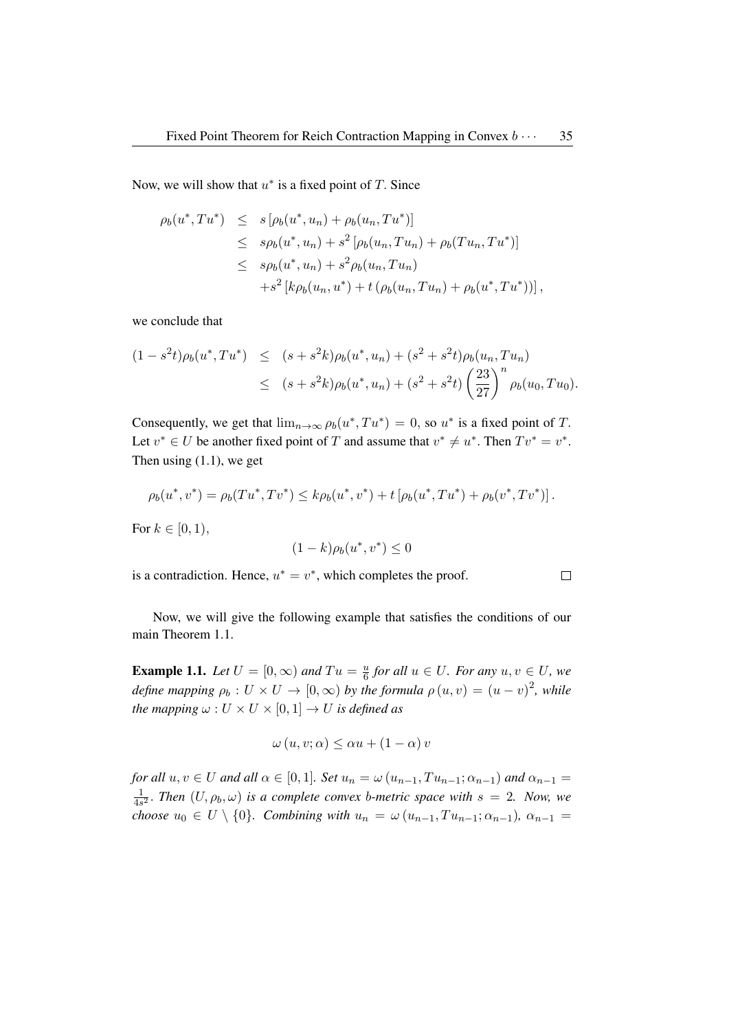Now, we will show that  $u^*$  is a fixed point of T. Since

$$
\rho_b(u^*, Tu^*) \leq s [\rho_b(u^*, u_n) + \rho_b(u_n, Tu^*)]
$$
  
\n
$$
\leq s \rho_b(u^*, u_n) + s^2 [\rho_b(u_n, Tu_n) + \rho_b(Tu_n, Tu^*)]
$$
  
\n
$$
\leq s \rho_b(u^*, u_n) + s^2 \rho_b(u_n, Tu_n)
$$
  
\n
$$
+ s^2 [k \rho_b(u_n, u^*) + t (\rho_b(u_n, Tu_n) + \rho_b(u^*, Tu^*))],
$$

we conclude that

$$
(1 - s^{2}t)\rho_{b}(u^{*}, Tu^{*}) \leq (s + s^{2}k)\rho_{b}(u^{*}, u_{n}) + (s^{2} + s^{2}t)\rho_{b}(u_{n}, Tu_{n})
$$
  

$$
\leq (s + s^{2}k)\rho_{b}(u^{*}, u_{n}) + (s^{2} + s^{2}t)\left(\frac{23}{27}\right)^{n}\rho_{b}(u_{0}, Tu_{0}).
$$

Consequently, we get that  $\lim_{n\to\infty} \rho_b(u^*, Tu^*) = 0$ , so  $u^*$  is a fixed point of T. Let  $v^* \in U$  be another fixed point of T and assume that  $v^* \neq u^*$ . Then  $Tv^* = v^*$ . Then using  $(1.1)$ , we get

$$
\rho_b(u^*, v^*) = \rho_b(Tu^*, Tv^*) \le k\rho_b(u^*, v^*) + t\left[\rho_b(u^*, Tu^*) + \rho_b(v^*, Tv^*)\right].
$$

For  $k \in [0, 1)$ ,

$$
(1-k)\rho_b(u^*,v^*) \le 0
$$

is a contradiction. Hence,  $u^* = v^*$ , which completes the proof.

 $\Box$ 

Now, we will give the following example that satisfies the conditions of our main Theorem 1.1.

**Example 1.1.** *Let*  $U = [0, \infty)$  *and*  $Tu = \frac{u}{6}$  $\frac{u}{6}$  for all  $u \in U$ . For any  $u, v \in U$ , we define mapping  $\rho_b: U \times U \to [0, \infty)$  by the formula  $\rho(u, v) = (u - v)^2$ , while *the mapping*  $\omega: U \times U \times [0,1] \rightarrow U$  *is defined as* 

$$
\omega(u, v; \alpha) \le \alpha u + (1 - \alpha) v
$$

*for all*  $u, v \in U$  *and all*  $\alpha \in [0, 1]$ *. Set*  $u_n = \omega(u_{n-1}, Tu_{n-1}; \alpha_{n-1})$  *and*  $\alpha_{n-1} =$ 1  $\frac{1}{4s^2}$ . *Then*  $(U, \rho_b, \omega)$  *is a complete convex b-metric space with*  $s = 2$ *. Now, we choose*  $u_0 \in U \setminus \{0\}$ *. Combining with*  $u_n = \omega(u_{n-1}, Tu_{n-1}, \alpha_{n-1})$ *,*  $\alpha_{n-1} =$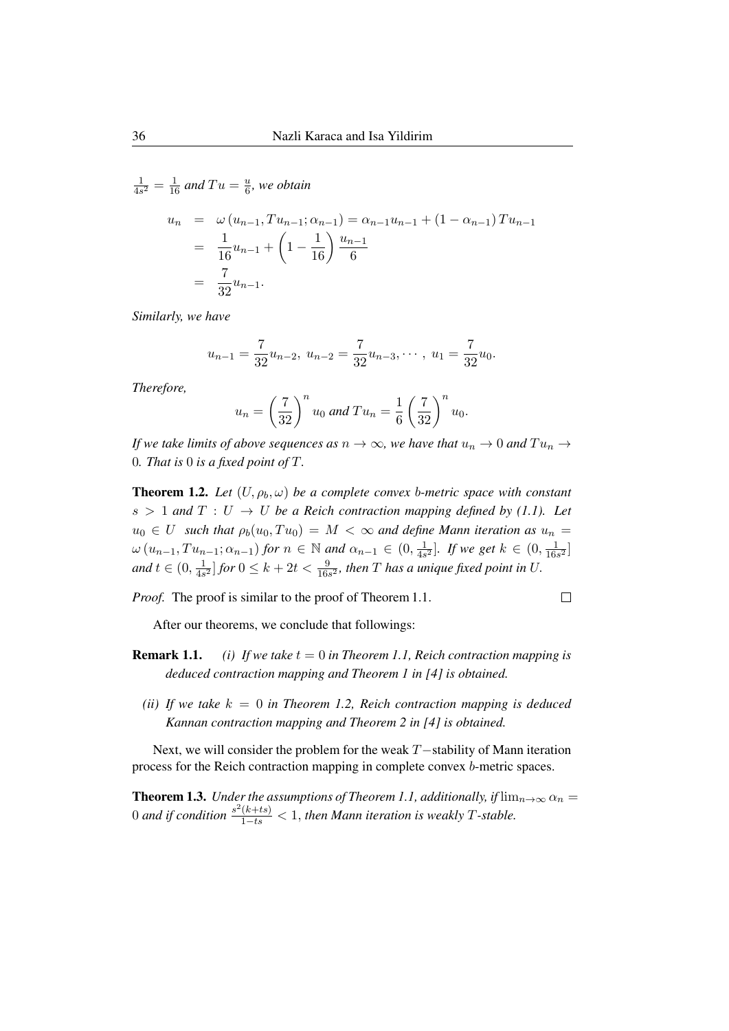1  $\frac{1}{4s^2} = \frac{1}{16}$  and  $Tu = \frac{u}{6}$  $\frac{u}{6}$ , we obtain

$$
u_n = \omega (u_{n-1}, T u_{n-1}; \alpha_{n-1}) = \alpha_{n-1} u_{n-1} + (1 - \alpha_{n-1}) T u_{n-1}
$$
  
=  $\frac{1}{16} u_{n-1} + (1 - \frac{1}{16}) \frac{u_{n-1}}{6}$   
=  $\frac{7}{32} u_{n-1}$ .

*Similarly, we have*

$$
u_{n-1} = \frac{7}{32}u_{n-2}, \ u_{n-2} = \frac{7}{32}u_{n-3}, \cdots, \ u_1 = \frac{7}{32}u_0.
$$

*Therefore,*

$$
u_n = \left(\frac{7}{32}\right)^n u_0 \text{ and } Tu_n = \frac{1}{6} \left(\frac{7}{32}\right)^n u_0.
$$

*If we take limits of above sequences as*  $n \to \infty$ *, we have that*  $u_n \to 0$  *and*  $Tu_n \to$ 0*. That is* 0 *is a fixed point of* T*.*

**Theorem 1.2.** Let  $(U, \rho_b, \omega)$  be a complete convex b-metric space with constant  $s > 1$  and  $T : U \to U$  be a Reich contraction mapping defined by (1.1). Let  $u_0 \in U$  *such that*  $\rho_b(u_0, Tu_0) = M < \infty$  *and define Mann iteration as*  $u_n =$  $\omega(u_{n-1}, Tu_{n-1}; \alpha_{n-1})$  for  $n \in \mathbb{N}$  and  $\alpha_{n-1} \in (0, \frac{1}{4s})$  $\frac{1}{4s^2}$ ]. If we get  $k \in (0, \frac{1}{16s})$  $\frac{1}{16s^2}$ *and*  $t \in (0, \frac{1}{4s})$  $\frac{1}{4s^2}]$  for  $0 \leq k + 2t < \frac{9}{16s^2}$ , then  $T$  has a unique fixed point in  $U$ .

*Proof.* The proof is similar to the proof of Theorem 1.1.

 $\Box$ 

After our theorems, we conclude that followings:

- **Remark 1.1.** *(i) If we take*  $t = 0$  *in Theorem 1.1, Reich contraction mapping is deduced contraction mapping and Theorem 1 in [4] is obtained.*
	- *(ii)* If we take  $k = 0$  in Theorem 1.2, Reich contraction mapping is deduced *Kannan contraction mapping and Theorem 2 in [4] is obtained.*

Next, we will consider the problem for the weak T−stability of Mann iteration process for the Reich contraction mapping in complete convex b-metric spaces.

**Theorem 1.3.** *Under the assumptions of Theorem 1.1, additionally, if*  $\lim_{n\to\infty} \alpha_n =$ 0 and if condition  $\frac{s^2(k+ts)}{1-ts} < 1$ , then Mann iteration is weakly T-stable.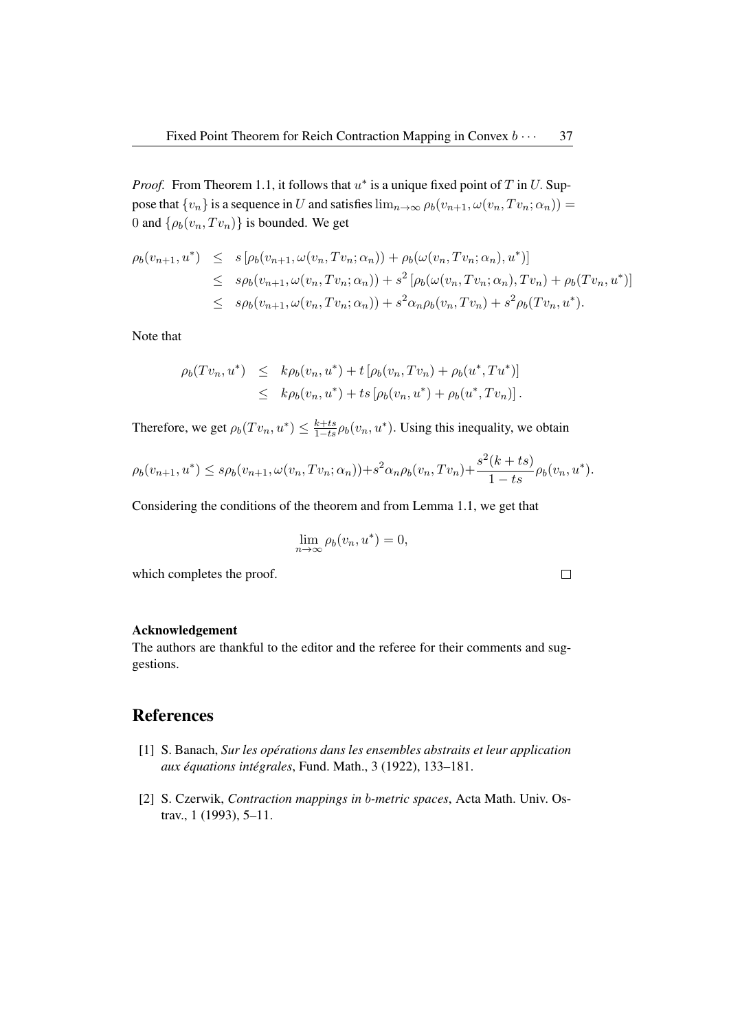*Proof.* From Theorem 1.1, it follows that  $u^*$  is a unique fixed point of T in U. Suppose that  $\{v_n\}$  is a sequence in U and satisfies  $\lim_{n\to\infty}\rho_b(v_{n+1},\omega(v_n,Tv_n;\alpha_n))=$ 0 and  $\{\rho_b(v_n, Tv_n)\}\$ is bounded. We get

$$
\rho_b(v_{n+1}, u^*) \leq s \left[ \rho_b(v_{n+1}, \omega(v_n, Tv_n; \alpha_n)) + \rho_b(\omega(v_n, Tv_n; \alpha_n), u^*) \right]
$$
  
\n
$$
\leq s \rho_b(v_{n+1}, \omega(v_n, Tv_n; \alpha_n)) + s^2 \left[ \rho_b(\omega(v_n, Tv_n; \alpha_n), Tv_n) + \rho_b(Tv_n, u^*) \right]
$$
  
\n
$$
\leq s \rho_b(v_{n+1}, \omega(v_n, Tv_n; \alpha_n)) + s^2 \alpha_n \rho_b(v_n, Tv_n) + s^2 \rho_b(Tv_n, u^*).
$$

Note that

$$
\rho_b(Tv_n, u^*) \leq k\rho_b(v_n, u^*) + t \left[ \rho_b(v_n, Tv_n) + \rho_b(u^*, Tu^*) \right] \leq k\rho_b(v_n, u^*) + t s \left[ \rho_b(v_n, u^*) + \rho_b(u^*, Tv_n) \right].
$$

Therefore, we get  $\rho_b(Tv_n, u^*) \leq \frac{k+t s}{1-t s} \rho_b(v_n, u^*)$ . Using this inequality, we obtain

$$
\rho_b(v_{n+1}, u^*) \le s \rho_b(v_{n+1}, \omega(v_n, Tv_n; \alpha_n)) + s^2 \alpha_n \rho_b(v_n, Tv_n) + \frac{s^2(k+ts)}{1-ts} \rho_b(v_n, u^*).
$$

Considering the conditions of the theorem and from Lemma 1.1, we get that

$$
\lim_{n \to \infty} \rho_b(v_n, u^*) = 0,
$$

which completes the proof.

 $\Box$ 

### Acknowledgement

The authors are thankful to the editor and the referee for their comments and suggestions.

## References

- [1] S. Banach, *Sur les operations dans les ensembles abstraits et leur application ´ aux equations int ´ egrales ´* , Fund. Math., 3 (1922), 133–181.
- [2] S. Czerwik, *Contraction mappings in* b*-metric spaces*, Acta Math. Univ. Ostrav., 1 (1993), 5–11.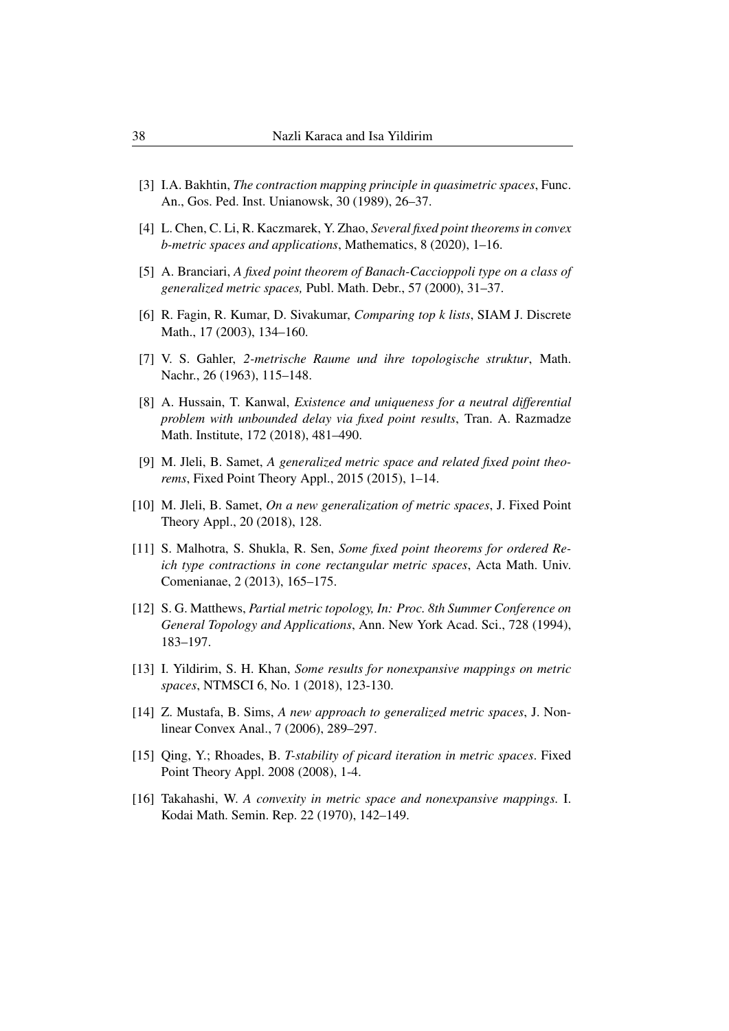- [3] I.A. Bakhtin, *The contraction mapping principle in quasimetric spaces*, Func. An., Gos. Ped. Inst. Unianowsk, 30 (1989), 26–37.
- [4] L. Chen, C. Li, R. Kaczmarek, Y. Zhao, *Several fixed point theorems in convex b-metric spaces and applications*, Mathematics, 8 (2020), 1–16.
- [5] A. Branciari, *A fixed point theorem of Banach-Caccioppoli type on a class of generalized metric spaces,* Publ. Math. Debr., 57 (2000), 31–37.
- [6] R. Fagin, R. Kumar, D. Sivakumar, *Comparing top k lists*, SIAM J. Discrete Math., 17 (2003), 134–160.
- [7] V. S. Gahler, *2-metrische Raume und ihre topologische struktur*, Math. Nachr., 26 (1963), 115–148.
- [8] A. Hussain, T. Kanwal, *Existence and uniqueness for a neutral differential problem with unbounded delay via fixed point results*, Tran. A. Razmadze Math. Institute, 172 (2018), 481–490.
- [9] M. Jleli, B. Samet, *A generalized metric space and related fixed point theorems*, Fixed Point Theory Appl., 2015 (2015), 1–14.
- [10] M. Jleli, B. Samet, *On a new generalization of metric spaces*, J. Fixed Point Theory Appl., 20 (2018), 128.
- [11] S. Malhotra, S. Shukla, R. Sen, *Some fixed point theorems for ordered Reich type contractions in cone rectangular metric spaces*, Acta Math. Univ. Comenianae, 2 (2013), 165–175.
- [12] S. G. Matthews, *Partial metric topology, In: Proc. 8th Summer Conference on General Topology and Applications*, Ann. New York Acad. Sci., 728 (1994), 183–197.
- [13] I. Yildirim, S. H. Khan, *Some results for nonexpansive mappings on metric spaces*, NTMSCI 6, No. 1 (2018), 123-130.
- [14] Z. Mustafa, B. Sims, *A new approach to generalized metric spaces*, J. Nonlinear Convex Anal., 7 (2006), 289–297.
- [15] Qing, Y.; Rhoades, B. *T-stability of picard iteration in metric spaces*. Fixed Point Theory Appl. 2008 (2008), 1-4.
- [16] Takahashi, W. *A convexity in metric space and nonexpansive mappings.* I. Kodai Math. Semin. Rep. 22 (1970), 142–149.